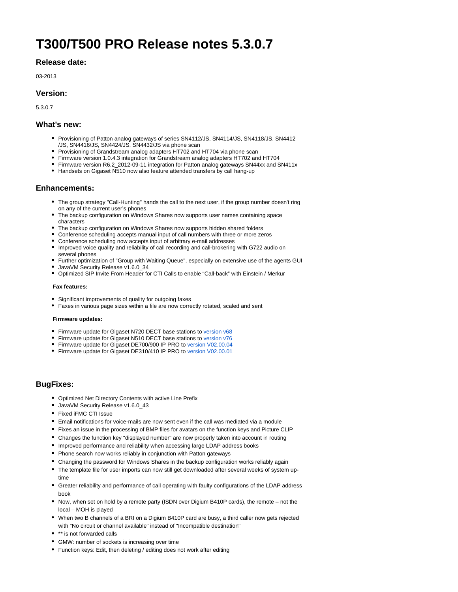# **T300/T500 PRO Release notes 5.3.0.7**

## **Release date:**

03-2013

## **Version:**

5.3.0.7

## **What's new:**

- Provisioning of Patton analog gateways of series SN4112/JS, SN4114/JS, SN4118/JS, SN4412 /JS, SN4416/JS, SN4424/JS, SN4432/JS via phone scan
- Provisioning of Grandstream analog adapters HT702 and HT704 via phone scan
- Firmware version 1.0.4.3 integration for Grandstream analog adapters HT702 and HT704
- Firmware version R6.2\_2012-09-11 integration for Patton analog gateways SN44xx and SN411x
- Handsets on Gigaset N510 now also feature attended transfers by call hang-up

#### **Enhancements:**

- The group strategy "Call-Hunting" hands the call to the next user, if the group number doesn't ring on any of the current user's phones
- The backup configuration on Windows Shares now supports user names containing space characters
- The backup configuration on Windows Shares now supports hidden shared folders
- Conference scheduling accepts manual input of call numbers with three or more zeros
- Conference scheduling now accepts input of arbitrary e-mail addresses
- Improved voice quality and reliability of call recording and call-brokering with G722 audio on several phones
- Further optimization of "Group with Waiting Queue", especially on extensive use of the agents GUI
- JavaVM Security Release v1.6.0\_34
- Optimized SIP Invite From Header for CTI Calls to enable "Call-back" with Einstein / Merkur

#### **Fax features:**

- Significant improvements of quality for outgoing faxes
- Faxes in various page sizes within a file are now correctly rotated, scaled and sent

#### **Firmware updates:**

- Firmware update for Gigaset N720 DECT base stations to [version v68](https://teamwork.gigaset.com/gigawiki/display/GPPPO/N720+IP+PRO+Release+notes+68)
- Firmware update for Gigaset N510 DECT base stations to [version v76](https://teamwork.gigaset.com/gigawiki/display/GPPPO/N510+IP+PRO+Release+notes+42.076)
- Firmware update for Gigaset DE700/900 IP PRO to [version V02.00.04](https://teamwork.gigaset.com/gigawiki/pages/viewpage.action?pageId=7405582)
- Firmware update for Gigaset DE310/410 IP PRO to [version V02.00.01](https://teamwork.gigaset.com/gigawiki/pages/viewpage.action?pageId=7405618)

## **BugFixes:**

- Optimized Net Directory Contents with active Line Prefix
- JavaVM Security Release v1.6.0\_43
- Fixed iFMC CTI Issue
- Email notifications for voice-mails are now sent even if the call was mediated via a module
- Fixes an issue in the processing of BMP files for avatars on the function keys and Picture CLIP
- Changes the function key "displayed number" are now properly taken into account in routing
- Improved performance and reliability when accessing large LDAP address books
- Phone search now works reliably in conjunction with Patton gateways
- Changing the password for Windows Shares in the backup configuration works reliably again
- The template file for user imports can now still get downloaded after several weeks of system uptime
- Greater reliability and performance of call operating with faulty configurations of the LDAP address book
- Now, when set on hold by a remote party (ISDN over Digium B410P cards), the remote not the local – MOH is played
- When two B channels of a BRI on a Digium B410P card are busy, a third caller now gets rejected with "No circuit or channel available" instead of "Incompatible destination"
- \*\* is not forwarded calls
- GMW: number of sockets is increasing over time
- Function keys: Edit, then deleting / editing does not work after editing